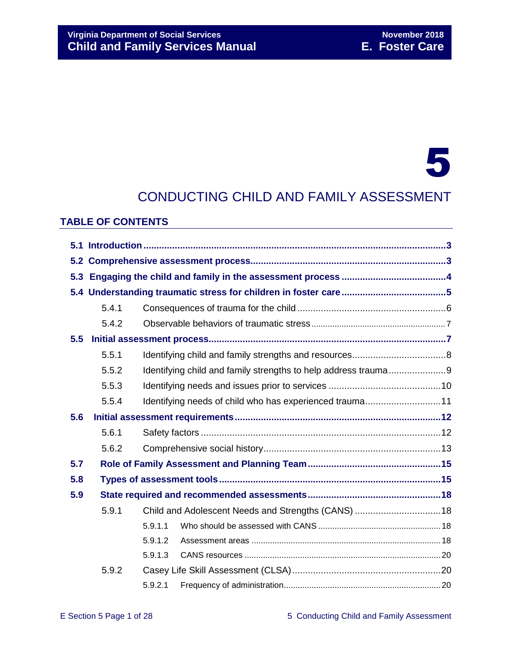# **Virginia Department of Social Services November 2018 Child and Family Services Manual E. Foster Care**

# 5

# CONDUCTING CHILD AND FAMILY ASSESSMENT

#### **TABLE OF CONTENTS**

| 5.3 |       |         |                                                                |  |  |  |  |
|-----|-------|---------|----------------------------------------------------------------|--|--|--|--|
|     |       |         |                                                                |  |  |  |  |
|     | 5.4.1 |         |                                                                |  |  |  |  |
|     | 5.4.2 |         |                                                                |  |  |  |  |
| 5.5 |       |         |                                                                |  |  |  |  |
|     | 5.5.1 |         |                                                                |  |  |  |  |
|     | 5.5.2 |         | Identifying child and family strengths to help address trauma9 |  |  |  |  |
|     | 5.5.3 |         |                                                                |  |  |  |  |
|     | 5.5.4 |         | Identifying needs of child who has experienced trauma11        |  |  |  |  |
| 5.6 |       |         |                                                                |  |  |  |  |
|     | 5.6.1 |         |                                                                |  |  |  |  |
|     | 5.6.2 |         |                                                                |  |  |  |  |
| 5.7 |       |         |                                                                |  |  |  |  |
| 5.8 |       |         |                                                                |  |  |  |  |
| 5.9 |       |         |                                                                |  |  |  |  |
|     | 5.9.1 |         |                                                                |  |  |  |  |
|     |       | 5.9.1.1 |                                                                |  |  |  |  |
|     |       | 5.9.1.2 |                                                                |  |  |  |  |
|     |       | 5.9.1.3 |                                                                |  |  |  |  |
|     | 5.9.2 |         |                                                                |  |  |  |  |
|     |       | 5.9.2.1 |                                                                |  |  |  |  |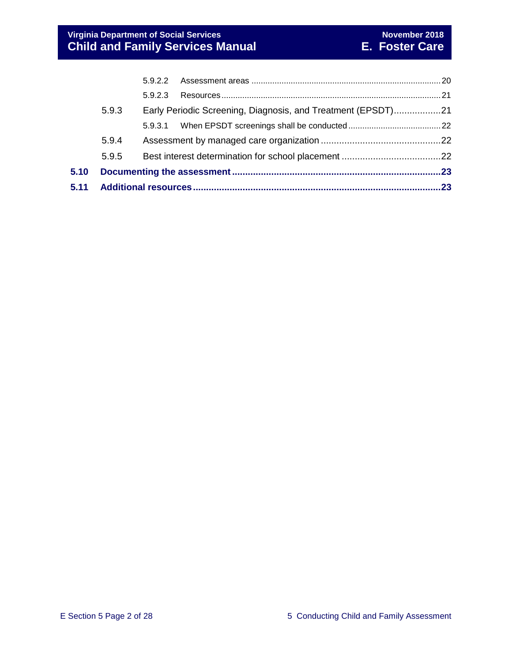| 5.11 |       |         |                                                              |  |
|------|-------|---------|--------------------------------------------------------------|--|
| 5.10 |       |         |                                                              |  |
|      | 5.9.5 |         |                                                              |  |
|      | 5.9.4 |         |                                                              |  |
|      |       |         |                                                              |  |
|      | 5.9.3 |         | Early Periodic Screening, Diagnosis, and Treatment (EPSDT)21 |  |
|      |       | 5.9.2.3 |                                                              |  |
|      |       |         |                                                              |  |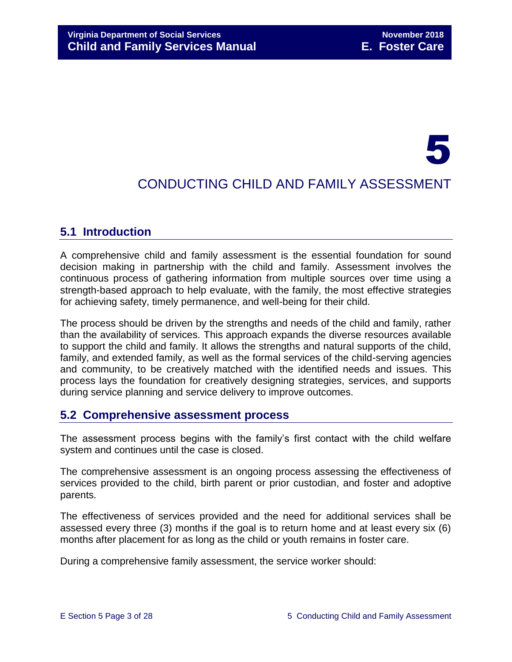# 5

# CONDUCTING CHILD AND FAMILY ASSESSMENT

# <span id="page-2-0"></span>**5.1 Introduction**

A comprehensive child and family assessment is the essential foundation for sound decision making in partnership with the child and family. Assessment involves the continuous process of gathering information from multiple sources over time using a strength-based approach to help evaluate, with the family, the most effective strategies for achieving safety, timely permanence, and well-being for their child.

The process should be driven by the strengths and needs of the child and family, rather than the availability of services. This approach expands the diverse resources available to support the child and family. It allows the strengths and natural supports of the child, family, and extended family, as well as the formal services of the child-serving agencies and community, to be creatively matched with the identified needs and issues. This process lays the foundation for creatively designing strategies, services, and supports during service planning and service delivery to improve outcomes.

# <span id="page-2-1"></span>**5.2 Comprehensive assessment process**

The assessment process begins with the family's first contact with the child welfare system and continues until the case is closed.

The comprehensive assessment is an ongoing process assessing the effectiveness of services provided to the child, birth parent or prior custodian, and foster and adoptive parents.

The effectiveness of services provided and the need for additional services shall be assessed every three (3) months if the goal is to return home and at least every six (6) months after placement for as long as the child or youth remains in foster care.

During a comprehensive family assessment, the service worker should: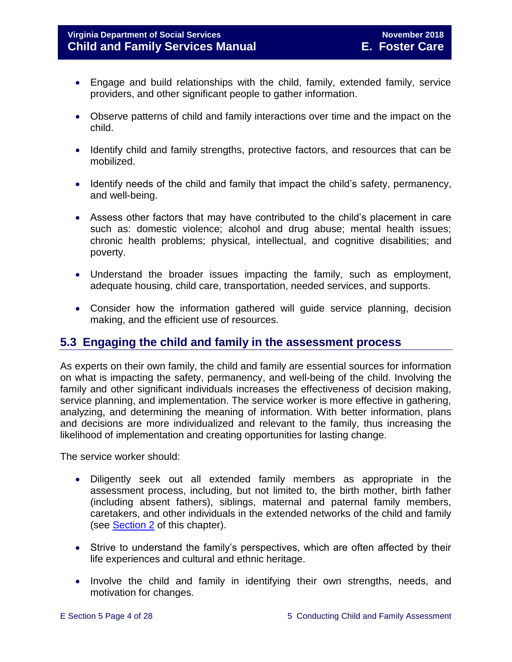- Engage and build relationships with the child, family, extended family, service providers, and other significant people to gather information.
- Observe patterns of child and family interactions over time and the impact on the child.
- Identify child and family strengths, protective factors, and resources that can be mobilized.
- Identify needs of the child and family that impact the child's safety, permanency, and well-being.
- Assess other factors that may have contributed to the child's placement in care such as: domestic violence; alcohol and drug abuse; mental health issues; chronic health problems; physical, intellectual, and cognitive disabilities; and poverty.
- Understand the broader issues impacting the family, such as employment, adequate housing, child care, transportation, needed services, and supports.
- Consider how the information gathered will guide service planning, decision making, and the efficient use of resources.

# <span id="page-3-0"></span>**5.3 Engaging the child and family in the assessment process**

As experts on their own family, the child and family are essential sources for information on what is impacting the safety, permanency, and well-being of the child. Involving the family and other significant individuals increases the effectiveness of decision making, service planning, and implementation. The service worker is more effective in gathering, analyzing, and determining the meaning of information. With better information, plans and decisions are more individualized and relevant to the family, thus increasing the likelihood of implementation and creating opportunities for lasting change.

The service worker should:

- Diligently seek out all extended family members as appropriate in the assessment process, including, but not limited to, the birth mother, birth father (including absent fathers), siblings, maternal and paternal family members, caretakers, and other individuals in the extended networks of the child and family (see [Section 2](file://///Vaultcelerra.co.dss.state.va.us/Workgroup/Family_Services/DFS%20Child%20and%20Family%20Services%20Manual/E.%20Foster%20Care/Foster%20Care%20June%202017/section_2_engaging_the_child_family_and_significant_adults.draft.docx) of this chapter).
- Strive to understand the family's perspectives, which are often affected by their life experiences and cultural and ethnic heritage.
- Involve the child and family in identifying their own strengths, needs, and motivation for changes.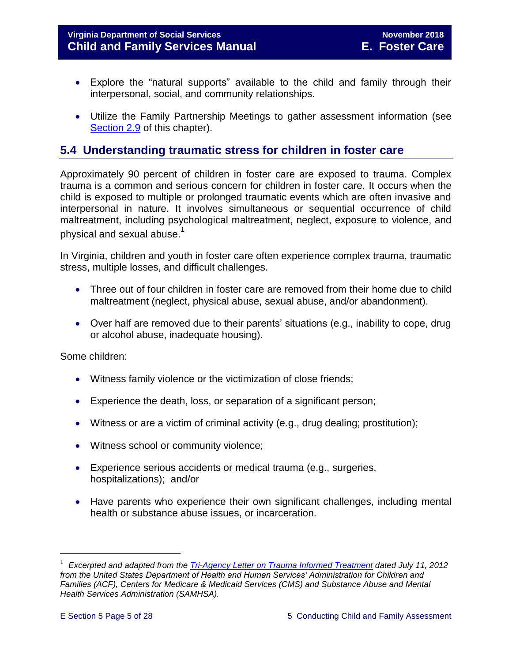#### **Virginia Department of Social Services November 2018 Child and Family Services Manual E. Foster Care**

- Explore the "natural supports" available to the child and family through their interpersonal, social, and community relationships.
- Utilize the Family Partnership Meetings to gather assessment information (see [Section 2.9](file://///Vaultcelerra.co.dss.state.va.us/Workgroup/Family_Services/DFS%20Child%20and%20Family%20Services%20Manual/E.%20Foster%20Care/Foster%20Care%20June%202017/section_2_engaging_the_child_family_and_significant_adults.draft.docx) of this chapter).

# <span id="page-4-0"></span>**5.4 Understanding traumatic stress for children in foster care**

Approximately 90 percent of children in foster care are exposed to trauma. Complex trauma is a common and serious concern for children in foster care. It occurs when the child is exposed to multiple or prolonged traumatic events which are often invasive and interpersonal in nature. It involves simultaneous or sequential occurrence of child maltreatment, including psychological maltreatment, neglect, exposure to violence, and physical and sexual abuse. $^\mathrm{1}$ 

In Virginia, children and youth in foster care often experience complex trauma, traumatic stress, multiple losses, and difficult challenges.

- Three out of four children in foster care are removed from their home due to child maltreatment (neglect, physical abuse, sexual abuse, and/or abandonment).
- Over half are removed due to their parents' situations (e.g., inability to cope, drug or alcohol abuse, inadequate housing).

Some children:

- Witness family violence or the victimization of close friends;
- Experience the death, loss, or separation of a significant person;
- Witness or are a victim of criminal activity (e.g., drug dealing; prostitution);
- Witness school or community violence;
- Experience serious accidents or medical trauma (e.g., surgeries, hospitalizations); and/or
- Have parents who experience their own significant challenges, including mental health or substance abuse issues, or incarceration.

L,

<sup>1</sup> *Excerpted and adapted from the [Tri-Agency Letter on Trauma Informed Treatment](http://www.medicaid.gov/Federal-Policy-Guidance/Downloads/SMD-13-07-11.pdf) dated July 11, 2012 from the United States Department of Health and Human Services' Administration for Children and Families (ACF), Centers for Medicare & Medicaid Services (CMS) and Substance Abuse and Mental Health Services Administration (SAMHSA).*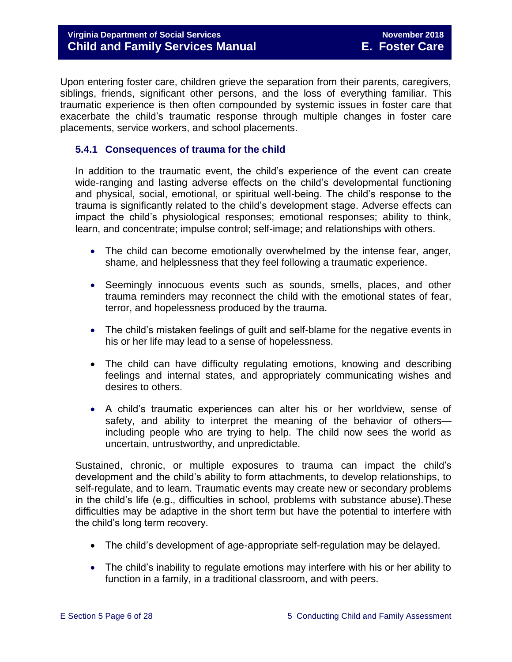Upon entering foster care, children grieve the separation from their parents, caregivers, siblings, friends, significant other persons, and the loss of everything familiar. This traumatic experience is then often compounded by systemic issues in foster care that exacerbate the child's traumatic response through multiple changes in foster care placements, service workers, and school placements.

#### <span id="page-5-0"></span>**5.4.1 Consequences of trauma for the child**

In addition to the traumatic event, the child's experience of the event can create wide-ranging and lasting adverse effects on the child's developmental functioning and physical, social, emotional, or spiritual well-being. The child's response to the trauma is significantly related to the child's development stage. Adverse effects can impact the child's physiological responses; emotional responses; ability to think, learn, and concentrate; impulse control; self-image; and relationships with others.

- The child can become emotionally overwhelmed by the intense fear, anger, shame, and helplessness that they feel following a traumatic experience.
- Seemingly innocuous events such as sounds, smells, places, and other trauma reminders may reconnect the child with the emotional states of fear, terror, and hopelessness produced by the trauma.
- The child's mistaken feelings of guilt and self-blame for the negative events in his or her life may lead to a sense of hopelessness.
- The child can have difficulty regulating emotions, knowing and describing feelings and internal states, and appropriately communicating wishes and desires to others.
- A child's traumatic experiences can alter his or her worldview, sense of safety, and ability to interpret the meaning of the behavior of others including people who are trying to help. The child now sees the world as uncertain, untrustworthy, and unpredictable.

Sustained, chronic, or multiple exposures to trauma can impact the child's development and the child's ability to form attachments, to develop relationships, to self-regulate, and to learn. Traumatic events may create new or secondary problems in the child's life (e.g., difficulties in school, problems with substance abuse).These difficulties may be adaptive in the short term but have the potential to interfere with the child's long term recovery.

- The child's development of age-appropriate self-regulation may be delayed.
- The child's inability to regulate emotions may interfere with his or her ability to function in a family, in a traditional classroom, and with peers.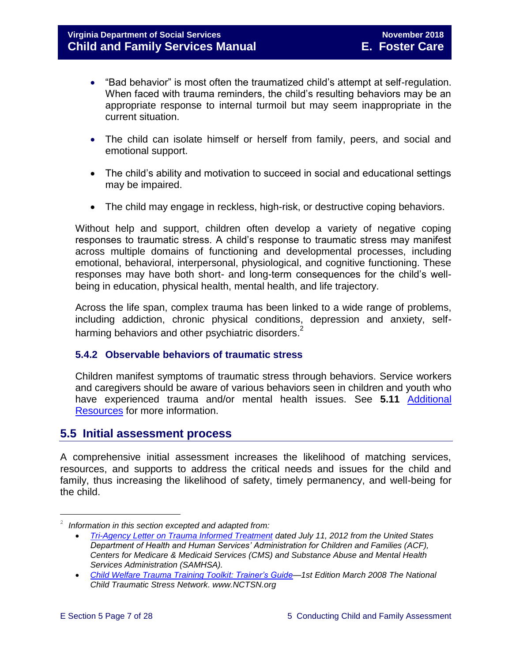- "Bad behavior" is most often the traumatized child's attempt at self-regulation. When faced with trauma reminders, the child's resulting behaviors may be an appropriate response to internal turmoil but may seem inappropriate in the current situation.
- The child can isolate himself or herself from family, peers, and social and emotional support.
- The child's ability and motivation to succeed in social and educational settings may be impaired.
- The child may engage in reckless, high-risk, or destructive coping behaviors.

Without help and support, children often develop a variety of negative coping responses to traumatic stress. A child's response to traumatic stress may manifest across multiple domains of functioning and developmental processes, including emotional, behavioral, interpersonal, physiological, and cognitive functioning. These responses may have both short- and long-term consequences for the child's wellbeing in education, physical health, mental health, and life trajectory.

Across the life span, complex trauma has been linked to a wide range of problems, including addiction, chronic physical conditions, depression and anxiety, selfharming behaviors and other psychiatric disorders. $^{2}$ 

#### <span id="page-6-0"></span>**5.4.2 Observable behaviors of traumatic stress**

Children manifest symptoms of traumatic stress through behaviors. Service workers and caregivers should be aware of various behaviors seen in children and youth who have experienced trauma and/or mental health issues. See **5.11** [Additional](#page-22-1)  [Resources](#page-22-1) for more information.

### <span id="page-6-1"></span>**5.5 Initial assessment process**

A comprehensive initial assessment increases the likelihood of matching services, resources, and supports to address the critical needs and issues for the child and family, thus increasing the likelihood of safety, timely permanency, and well-being for the child.

÷.

<sup>2</sup> *Information in this section excepted and adapted from:*

*[Tri-Agency Letter on Trauma Informed Treatment](http://www.medicaid.gov/Federal-Policy-Guidance/Downloads/SMD-13-07-11.pdf) dated July 11, 2012 from the United States Department of Health and Human Services' Administration for Children and Families (ACF), Centers for Medicare & Medicaid Services (CMS) and Substance Abuse and Mental Health Services Administration (SAMHSA).*

*[Child Welfare Trauma Training Toolkit: Trainer's Guide—](http://www.nctsn.org/nctsn_assets/pdfs/CWT3_TrainersGuide.pdf)1st Edition March 2008 The National Child Traumatic Stress Network. www.NCTSN.org*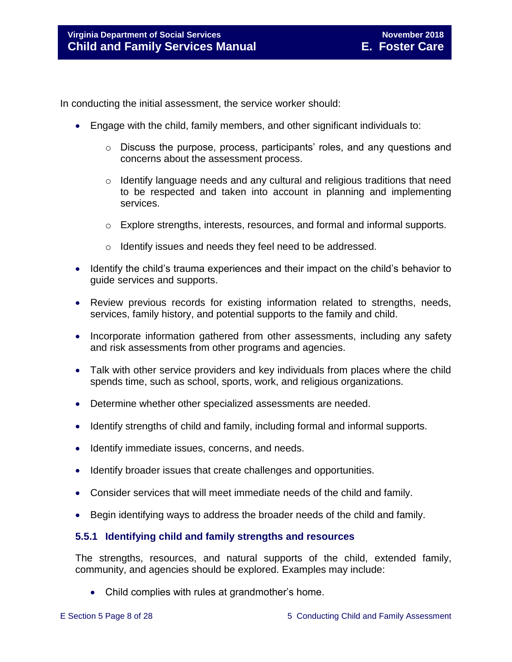In conducting the initial assessment, the service worker should:

- Engage with the child, family members, and other significant individuals to:
	- o Discuss the purpose, process, participants' roles, and any questions and concerns about the assessment process.
	- $\circ$  Identify language needs and any cultural and religious traditions that need to be respected and taken into account in planning and implementing services.
	- $\circ$  Explore strengths, interests, resources, and formal and informal supports.
	- o Identify issues and needs they feel need to be addressed.
- Identify the child's trauma experiences and their impact on the child's behavior to guide services and supports.
- Review previous records for existing information related to strengths, needs, services, family history, and potential supports to the family and child.
- Incorporate information gathered from other assessments, including any safety and risk assessments from other programs and agencies.
- Talk with other service providers and key individuals from places where the child spends time, such as school, sports, work, and religious organizations.
- Determine whether other specialized assessments are needed.
- Identify strengths of child and family, including formal and informal supports.
- Identify immediate issues, concerns, and needs.
- Identify broader issues that create challenges and opportunities.
- Consider services that will meet immediate needs of the child and family.
- Begin identifying ways to address the broader needs of the child and family.

#### <span id="page-7-0"></span>**5.5.1 Identifying child and family strengths and resources**

The strengths, resources, and natural supports of the child, extended family, community, and agencies should be explored. Examples may include:

• Child complies with rules at grandmother's home.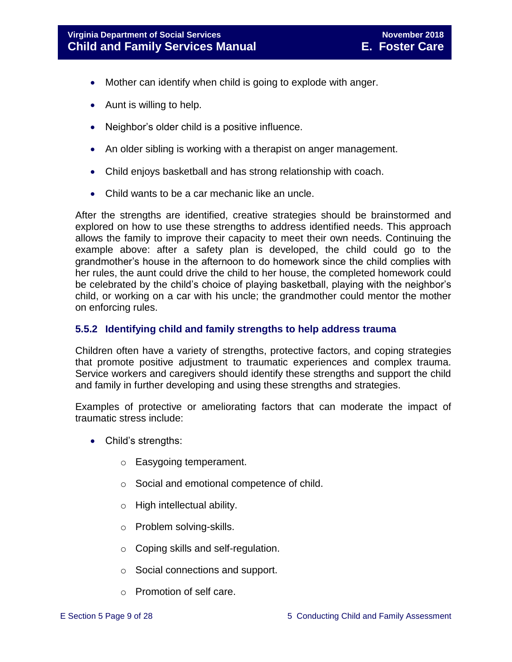- Mother can identify when child is going to explode with anger.
- Aunt is willing to help.
- Neighbor's older child is a positive influence.
- An older sibling is working with a therapist on anger management.
- Child enjoys basketball and has strong relationship with coach.
- Child wants to be a car mechanic like an uncle.

After the strengths are identified, creative strategies should be brainstormed and explored on how to use these strengths to address identified needs. This approach allows the family to improve their capacity to meet their own needs. Continuing the example above: after a safety plan is developed, the child could go to the grandmother's house in the afternoon to do homework since the child complies with her rules, the aunt could drive the child to her house, the completed homework could be celebrated by the child's choice of playing basketball, playing with the neighbor's child, or working on a car with his uncle; the grandmother could mentor the mother on enforcing rules.

#### <span id="page-8-0"></span>**5.5.2 Identifying child and family strengths to help address trauma**

Children often have a variety of strengths, protective factors, and coping strategies that promote positive adjustment to traumatic experiences and complex trauma. Service workers and caregivers should identify these strengths and support the child and family in further developing and using these strengths and strategies.

Examples of protective or ameliorating factors that can moderate the impact of traumatic stress include:

- Child's strengths:
	- o Easygoing temperament.
	- o Social and emotional competence of child.
	- o High intellectual ability.
	- o Problem solving-skills.
	- o Coping skills and self-regulation.
	- o Social connections and support.
	- o Promotion of self care.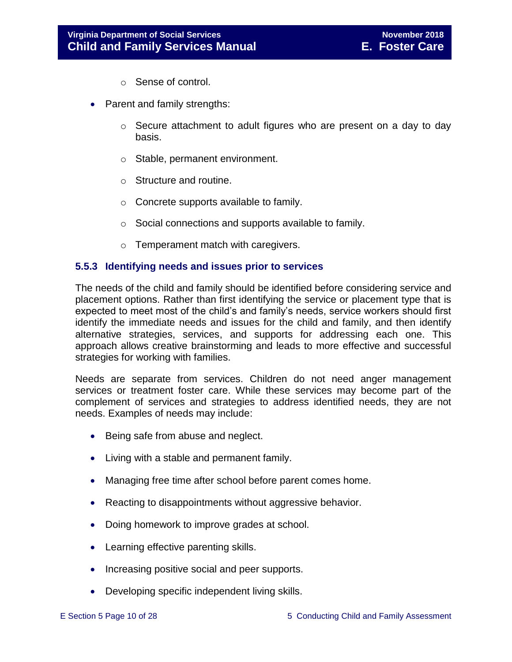- o Sense of control.
- Parent and family strengths:
	- $\circ$  Secure attachment to adult figures who are present on a day to day basis.
	- o Stable, permanent environment.
	- o Structure and routine.
	- o Concrete supports available to family.
	- o Social connections and supports available to family.
	- o Temperament match with caregivers.

#### <span id="page-9-0"></span>**5.5.3 Identifying needs and issues prior to services**

The needs of the child and family should be identified before considering service and placement options. Rather than first identifying the service or placement type that is expected to meet most of the child's and family's needs, service workers should first identify the immediate needs and issues for the child and family, and then identify alternative strategies, services, and supports for addressing each one. This approach allows creative brainstorming and leads to more effective and successful strategies for working with families.

Needs are separate from services. Children do not need anger management services or treatment foster care. While these services may become part of the complement of services and strategies to address identified needs, they are not needs. Examples of needs may include:

- Being safe from abuse and neglect.
- Living with a stable and permanent family.
- Managing free time after school before parent comes home.
- Reacting to disappointments without aggressive behavior.
- Doing homework to improve grades at school.
- Learning effective parenting skills.
- Increasing positive social and peer supports.
- Developing specific independent living skills.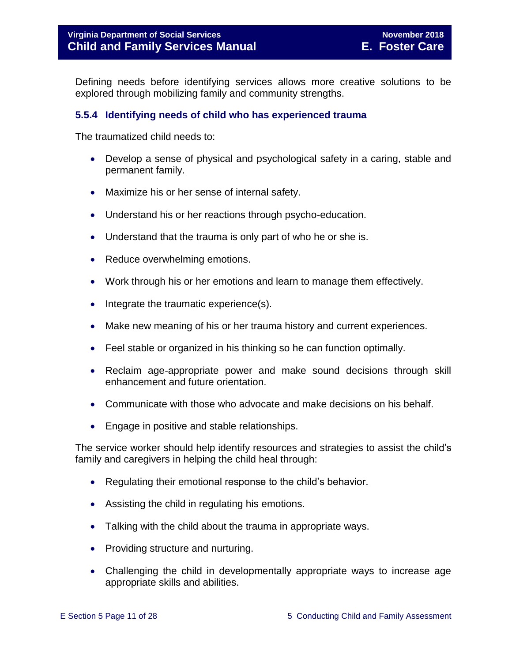Defining needs before identifying services allows more creative solutions to be explored through mobilizing family and community strengths.

#### <span id="page-10-0"></span>**5.5.4 Identifying needs of child who has experienced trauma**

The traumatized child needs to:

- Develop a sense of physical and psychological safety in a caring, stable and permanent family.
- Maximize his or her sense of internal safety.
- Understand his or her reactions through psycho-education.
- Understand that the trauma is only part of who he or she is.
- Reduce overwhelming emotions.
- Work through his or her emotions and learn to manage them effectively.
- Integrate the traumatic experience(s).
- Make new meaning of his or her trauma history and current experiences.
- Feel stable or organized in his thinking so he can function optimally.
- Reclaim age-appropriate power and make sound decisions through skill enhancement and future orientation.
- Communicate with those who advocate and make decisions on his behalf.
- Engage in positive and stable relationships.

The service worker should help identify resources and strategies to assist the child's family and caregivers in helping the child heal through:

- Regulating their emotional response to the child's behavior.
- Assisting the child in regulating his emotions.
- Talking with the child about the trauma in appropriate ways.
- Providing structure and nurturing.
- Challenging the child in developmentally appropriate ways to increase age appropriate skills and abilities.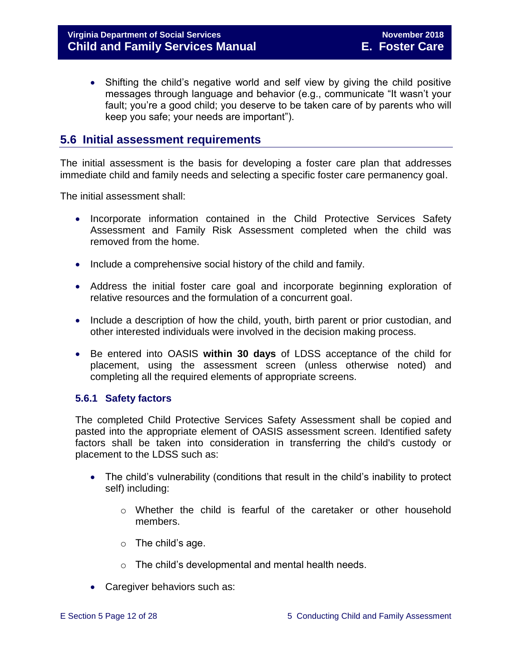• Shifting the child's negative world and self view by giving the child positive messages through language and behavior (e.g., communicate "It wasn't your fault; you're a good child; you deserve to be taken care of by parents who will keep you safe; your needs are important").

## <span id="page-11-0"></span>**5.6 Initial assessment requirements**

The initial assessment is the basis for developing a foster care plan that addresses immediate child and family needs and selecting a specific foster care permanency goal.

The initial assessment shall:

- Incorporate information contained in the Child Protective Services Safety Assessment and Family Risk Assessment completed when the child was removed from the home.
- Include a comprehensive social history of the child and family.
- Address the initial foster care goal and incorporate beginning exploration of relative resources and the formulation of a concurrent goal.
- Include a description of how the child, youth, birth parent or prior custodian, and other interested individuals were involved in the decision making process.
- Be entered into OASIS **within 30 days** of LDSS acceptance of the child for placement, using the assessment screen (unless otherwise noted) and completing all the required elements of appropriate screens.

#### <span id="page-11-1"></span>**5.6.1 Safety factors**

The completed Child Protective Services Safety Assessment shall be copied and pasted into the appropriate element of OASIS assessment screen. Identified safety factors shall be taken into consideration in transferring the child's custody or placement to the LDSS such as:

- The child's vulnerability (conditions that result in the child's inability to protect self) including:
	- o Whether the child is fearful of the caretaker or other household members.
	- $\circ$  The child's age.
	- o The child's developmental and mental health needs.
- Caregiver behaviors such as: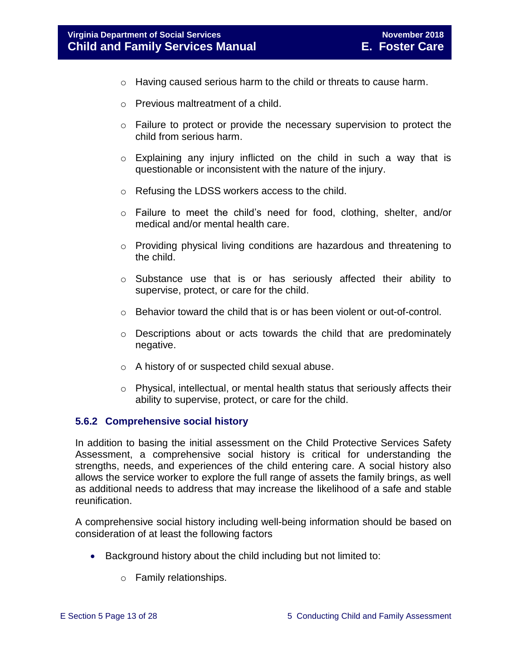- o Having caused serious harm to the child or threats to cause harm.
- o Previous maltreatment of a child.
- o Failure to protect or provide the necessary supervision to protect the child from serious harm.
- $\circ$  Explaining any injury inflicted on the child in such a way that is questionable or inconsistent with the nature of the injury.
- o Refusing the LDSS workers access to the child.
- o Failure to meet the child's need for food, clothing, shelter, and/or medical and/or mental health care.
- o Providing physical living conditions are hazardous and threatening to the child.
- o Substance use that is or has seriously affected their ability to supervise, protect, or care for the child.
- $\circ$  Behavior toward the child that is or has been violent or out-of-control.
- o Descriptions about or acts towards the child that are predominately negative.
- o A history of or suspected child sexual abuse.
- $\circ$  Physical, intellectual, or mental health status that seriously affects their ability to supervise, protect, or care for the child.

#### <span id="page-12-0"></span>**5.6.2 Comprehensive social history**

In addition to basing the initial assessment on the Child Protective Services Safety Assessment, a comprehensive social history is critical for understanding the strengths, needs, and experiences of the child entering care. A social history also allows the service worker to explore the full range of assets the family brings, as well as additional needs to address that may increase the likelihood of a safe and stable reunification.

A comprehensive social history including well-being information should be based on consideration of at least the following factors

- Background history about the child including but not limited to:
	- o Family relationships.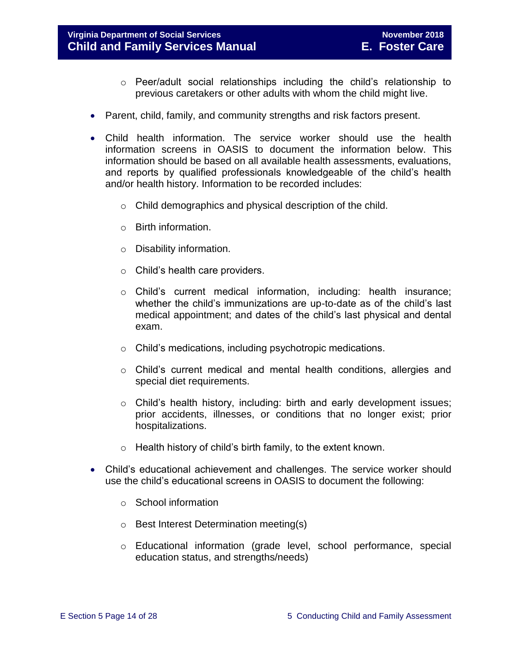#### **Virginia Department of Social Services November 2018 Child and Family Services Manual E. Foster Care**

- $\circ$  Peer/adult social relationships including the child's relationship to previous caretakers or other adults with whom the child might live.
- Parent, child, family, and community strengths and risk factors present.
- Child health information. The service worker should use the health information screens in OASIS to document the information below. This information should be based on all available health assessments, evaluations, and reports by qualified professionals knowledgeable of the child's health and/or health history. Information to be recorded includes:
	- o Child demographics and physical description of the child.
	- o Birth information.
	- o Disability information.
	- o Child's health care providers.
	- o Child's current medical information, including: health insurance; whether the child's immunizations are up-to-date as of the child's last medical appointment; and dates of the child's last physical and dental exam.
	- o Child's medications, including psychotropic medications.
	- o Child's current medical and mental health conditions, allergies and special diet requirements.
	- $\circ$  Child's health history, including: birth and early development issues; prior accidents, illnesses, or conditions that no longer exist; prior hospitalizations.
	- $\circ$  Health history of child's birth family, to the extent known.
- Child's educational achievement and challenges. The service worker should use the child's educational screens in OASIS to document the following:
	- o School information
	- o Best Interest Determination meeting(s)
	- o Educational information (grade level, school performance, special education status, and strengths/needs)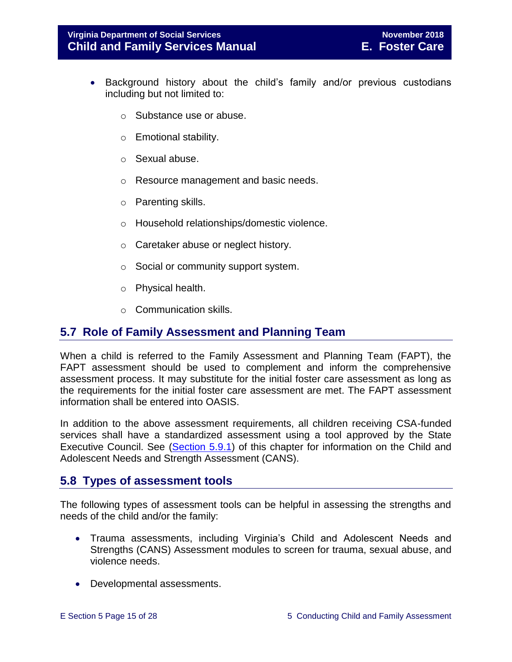- Background history about the child's family and/or previous custodians including but not limited to:
	- o Substance use or abuse.
	- o Emotional stability.
	- o Sexual abuse.
	- o Resource management and basic needs.
	- o Parenting skills.
	- o Household relationships/domestic violence.
	- o Caretaker abuse or neglect history.
	- o Social or community support system.
	- o Physical health.
	- o Communication skills.

# <span id="page-14-0"></span>**5.7 Role of Family Assessment and Planning Team**

When a child is referred to the Family Assessment and Planning Team (FAPT), the FAPT assessment should be used to complement and inform the comprehensive assessment process. It may substitute for the initial foster care assessment as long as the requirements for the initial foster care assessment are met. The FAPT assessment information shall be entered into OASIS.

In addition to the above assessment requirements, all children receiving CSA-funded services shall have a standardized assessment using a tool approved by the State Executive Council. See [\(Section](http://www.dss.virginia.gov/family/fc/index.cgi#manuals) 5.9.1) of this chapter for information on the Child and Adolescent Needs and Strength Assessment (CANS).

# <span id="page-14-1"></span>**5.8 Types of assessment tools**

The following types of assessment tools can be helpful in assessing the strengths and needs of the child and/or the family:

- Trauma assessments, including Virginia's Child and Adolescent Needs and Strengths (CANS) Assessment modules to screen for trauma, sexual abuse, and violence needs.
- Developmental assessments.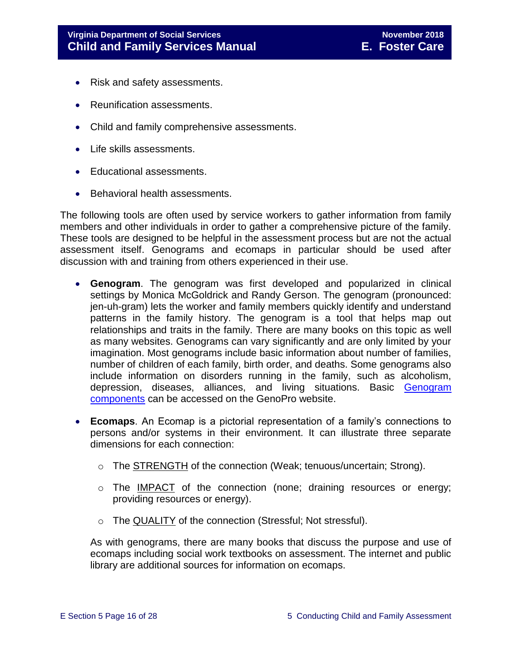- Risk and safety assessments.
- Reunification assessments.
- Child and family comprehensive assessments.
- Life skills assessments.
- Educational assessments.
- Behavioral health assessments.

The following tools are often used by service workers to gather information from family members and other individuals in order to gather a comprehensive picture of the family. These tools are designed to be helpful in the assessment process but are not the actual assessment itself. Genograms and ecomaps in particular should be used after discussion with and training from others experienced in their use.

- **Genogram**. The genogram was first developed and popularized in clinical settings by Monica McGoldrick and Randy Gerson. The genogram (pronounced: jen-uh-gram) lets the worker and family members quickly identify and understand patterns in the family history. The genogram is a tool that helps map out relationships and traits in the family. There are many books on this topic as well as many websites. Genograms can vary significantly and are only limited by your imagination. Most genograms include basic information about number of families, number of children of each family, birth order, and deaths. Some genograms also include information on disorders running in the family, such as alcoholism, depression, diseases, alliances, and living situations. Basic [Genogram](http://www.genopro.com/genogram_components/default.htm)  [components](http://www.genopro.com/genogram_components/default.htm) can be accessed on the GenoPro website.
- **Ecomaps**. An Ecomap is a pictorial representation of a family's connections to persons and/or systems in their environment. It can illustrate three separate dimensions for each connection:
	- $\circ$  The STRENGTH of the connection (Weak; tenuous/uncertain; Strong).
	- o The IMPACT of the connection (none; draining resources or energy; providing resources or energy).
	- o The QUALITY of the connection (Stressful; Not stressful).

As with genograms, there are many books that discuss the purpose and use of ecomaps including social work textbooks on assessment. The internet and public library are additional sources for information on ecomaps.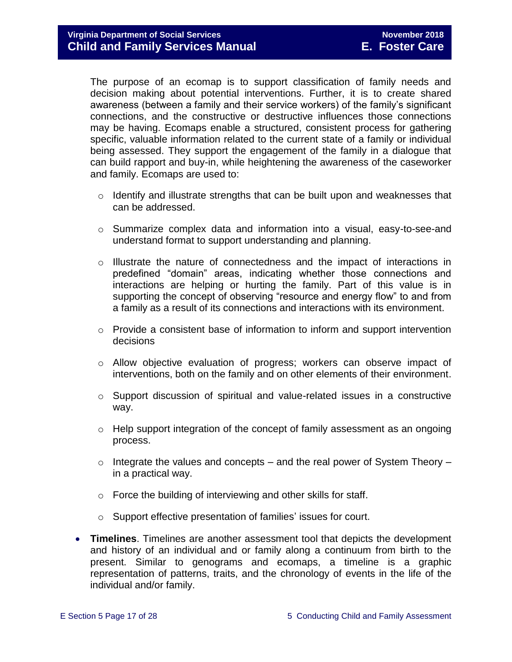The purpose of an ecomap is to support classification of family needs and decision making about potential interventions. Further, it is to create shared awareness (between a family and their service workers) of the family's significant connections, and the constructive or destructive influences those connections may be having. Ecomaps enable a structured, consistent process for gathering specific, valuable information related to the current state of a family or individual being assessed. They support the engagement of the family in a dialogue that can build rapport and buy-in, while heightening the awareness of the caseworker and family. Ecomaps are used to:

- $\circ$  Identify and illustrate strengths that can be built upon and weaknesses that can be addressed.
- $\circ$  Summarize complex data and information into a visual, easy-to-see-and understand format to support understanding and planning.
- o Illustrate the nature of connectedness and the impact of interactions in predefined "domain" areas, indicating whether those connections and interactions are helping or hurting the family. Part of this value is in supporting the concept of observing "resource and energy flow" to and from a family as a result of its connections and interactions with its environment.
- o Provide a consistent base of information to inform and support intervention decisions
- o Allow objective evaluation of progress; workers can observe impact of interventions, both on the family and on other elements of their environment.
- o Support discussion of spiritual and value-related issues in a constructive way.
- o Help support integration of the concept of family assessment as an ongoing process.
- $\circ$  Integrate the values and concepts and the real power of System Theory in a practical way.
- o Force the building of interviewing and other skills for staff.
- o Support effective presentation of families' issues for court.
- **Timelines**. Timelines are another assessment tool that depicts the development and history of an individual and or family along a continuum from birth to the present. Similar to genograms and ecomaps, a timeline is a graphic representation of patterns, traits, and the chronology of events in the life of the individual and/or family.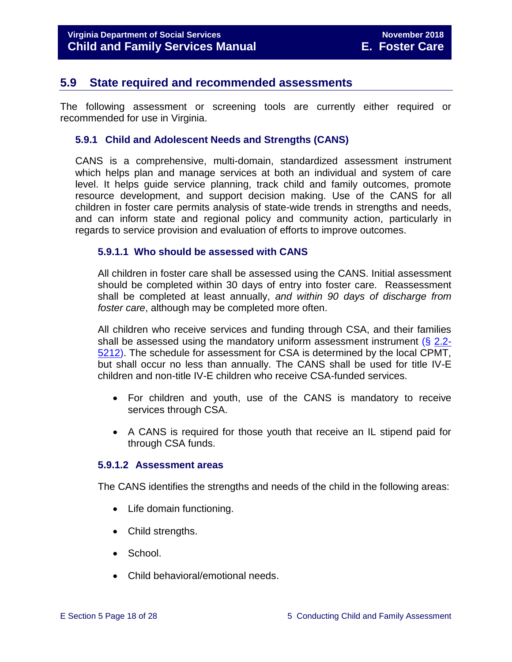## <span id="page-17-0"></span>**5.9 State required and recommended assessments**

The following assessment or screening tools are currently either required or recommended for use in Virginia.

#### <span id="page-17-1"></span>**5.9.1 Child and Adolescent Needs and Strengths (CANS)**

CANS is a comprehensive, multi-domain, standardized assessment instrument which helps plan and manage services at both an individual and system of care level. It helps guide service planning, track child and family outcomes, promote resource development, and support decision making. Use of the CANS for all children in foster care permits analysis of state-wide trends in strengths and needs, and can inform state and regional policy and community action, particularly in regards to service provision and evaluation of efforts to improve outcomes.

#### <span id="page-17-2"></span>**5.9.1.1 Who should be assessed with CANS**

All children in foster care shall be assessed using the CANS. Initial assessment should be completed within 30 days of entry into foster care. Reassessment shall be completed at least annually, *and within 90 days of discharge from foster care*, although may be completed more often.

All children who receive services and funding through CSA, and their families shall be assessed using the mandatory uniform assessment instrument (§ [2.2-](http://law.lis.virginia.gov/vacode/2.2-5212/) [5212\)](http://law.lis.virginia.gov/vacode/2.2-5212/). The schedule for assessment for CSA is determined by the local CPMT, but shall occur no less than annually. The CANS shall be used for title IV-E children and non-title IV-E children who receive CSA-funded services.

- For children and youth, use of the CANS is mandatory to receive services through CSA.
- A CANS is required for those youth that receive an IL stipend paid for through CSA funds.

#### <span id="page-17-3"></span>**5.9.1.2 Assessment areas**

The CANS identifies the strengths and needs of the child in the following areas:

- Life domain functioning.
- Child strengths.
- School.
- Child behavioral/emotional needs.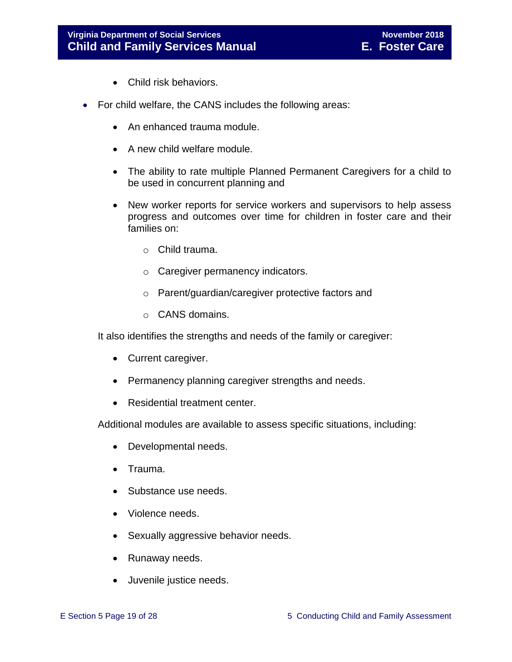- Child risk behaviors.
- For child welfare, the CANS includes the following areas:
	- An enhanced trauma module.
	- A new child welfare module.
	- The ability to rate multiple Planned Permanent Caregivers for a child to be used in concurrent planning and
	- New worker reports for service workers and supervisors to help assess progress and outcomes over time for children in foster care and their families on:
		- o Child trauma.
		- o Caregiver permanency indicators.
		- o Parent/guardian/caregiver protective factors and
		- o CANS domains.

It also identifies the strengths and needs of the family or caregiver:

- Current caregiver.
- Permanency planning caregiver strengths and needs.
- Residential treatment center.

Additional modules are available to assess specific situations, including:

- Developmental needs.
- Trauma.
- Substance use needs.
- Violence needs.
- Sexually aggressive behavior needs.
- Runaway needs.
- Juvenile justice needs.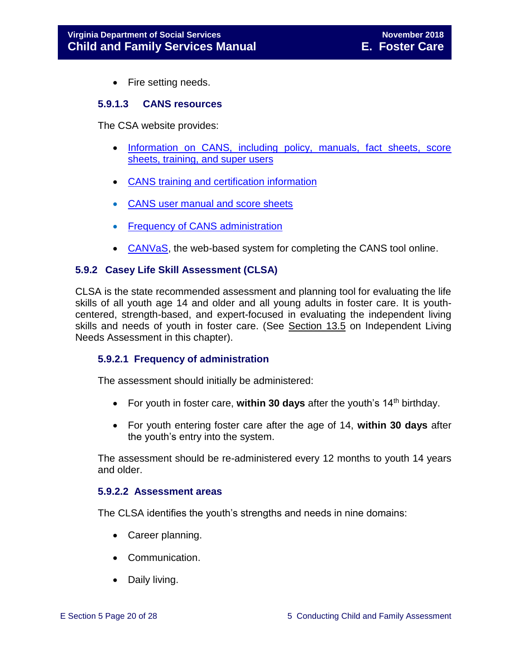• Fire setting needs.

#### <span id="page-19-0"></span>**5.9.1.3 CANS resources**

The CSA website provides:

- [Information on CANS, including policy, manuals, fact sheets, score](http://www.csa.virginia.gov/html/CANS/cans.cfm)  sheets, training, [and super users](http://www.csa.virginia.gov/html/CANS/cans.cfm)
- [CANS training and certification information](http://www.csa.virginia.gov/html/CANS/CANS_training.cfm)
- [CANS user manual and score sheets](http://www.csa.virginia.gov/html/CANS/cans_documents.cfm)
- [Frequency of CANS administration](http://www.csa.virginia.gov/html/CANS/CANS%20Policy.cfm)
- [CANVaS,](http://www.csa.virginia.gov/html/CANS/canvas.cfm) the web-based system for completing the CANS tool online.

#### <span id="page-19-1"></span>**5.9.2 Casey Life Skill Assessment (CLSA)**

CLSA is the state recommended assessment and planning tool for evaluating the life skills of all youth age 14 and older and all young adults in foster care. It is youthcentered, strength-based, and expert-focused in evaluating the independent living skills and needs of youth in foster care. (See Section 13.5 on Independent Living Needs Assessment in this chapter).

#### <span id="page-19-2"></span>**5.9.2.1 Frequency of administration**

The assessment should initially be administered:

- For youth in foster care, within 30 days after the youth's 14<sup>th</sup> birthday.
- For youth entering foster care after the age of 14, **within 30 days** after the youth's entry into the system.

The assessment should be re-administered every 12 months to youth 14 years and older.

#### <span id="page-19-3"></span>**5.9.2.2 Assessment areas**

The CLSA identifies the youth's strengths and needs in nine domains:

- Career planning.
- Communication.
- Daily living.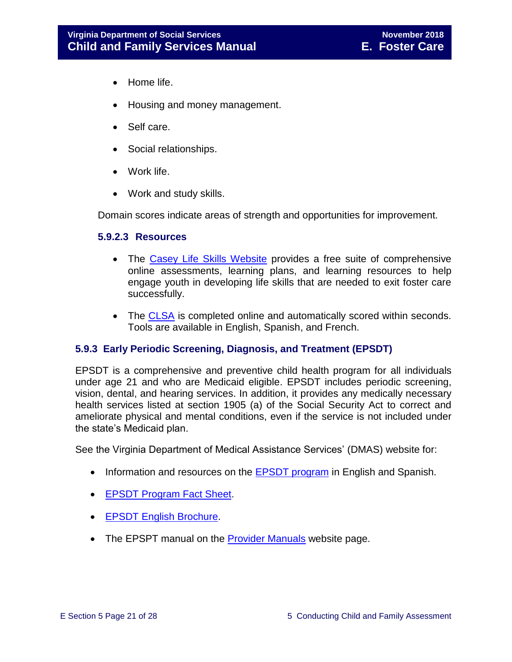- Home life.
- Housing and money management.
- Self care.
- Social relationships.
- Work life.
- Work and study skills.

Domain scores indicate areas of strength and opportunities for improvement.

#### <span id="page-20-0"></span>**5.9.2.3 Resources**

- The [Casey Life Skills Website](http://www.casey.org/Resources/Tools/cls/default.htm) provides a free suite of comprehensive online assessments, learning plans, and learning resources to help engage youth in developing life skills that are needed to exit foster care successfully.
- The [CLSA](http://lifeskills.casey.org/) is completed online and automatically scored within seconds. Tools are available in English, Spanish, and French.

#### <span id="page-20-1"></span>**5.9.3 Early Periodic Screening, Diagnosis, and Treatment (EPSDT)**

EPSDT is a comprehensive and preventive child health program for all individuals under age 21 and who are Medicaid eligible. EPSDT includes periodic screening, vision, dental, and hearing services. In addition, it provides any medically necessary health services listed at section 1905 (a) of the Social Security Act to correct and ameliorate physical and mental conditions, even if the service is not included under the state's Medicaid plan.

See the Virginia Department of Medical Assistance Services' (DMAS) website for:

- Information and resources on the **EPSDT** program in English and Spanish.
- **[EPSDT Program Fact Sheet.](http://www.dmas.virginia.gov/Content_atchs/mch/mch-epsdt_fs.pdf)**
- **[EPSDT English Brochure.](http://www.dmas.virginia.gov/Content_atchs/mch/mch-epsdt_breng.pdf)**
- The EPSPT manual on the [Provider Manuals](https://www.virginiamedicaid.dmas.virginia.gov/wps/portal/ProviderManual) website page.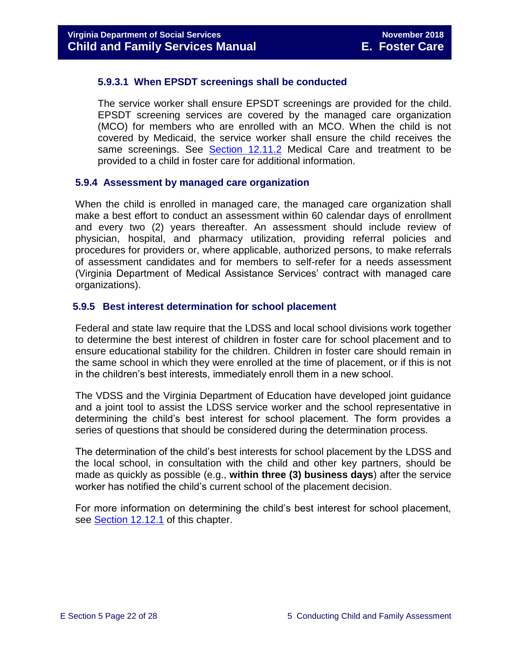#### <span id="page-21-0"></span>**5.9.3.1 When EPSDT screenings shall be conducted**

The service worker shall ensure EPSDT screenings are provided for the child. EPSDT screening services are covered by the managed care organization (MCO) for members who are enrolled with an MCO. When the child is not covered by Medicaid, the service worker shall ensure the child receives the same screenings. See [Section 12.11.2](file://///Vaultcelerra.co.dss.state.va.us/Workgroup/Family_Services/DFS%20Child%20and%20Family%20Services%20Manual/E.%20Foster%20Care/Foster%20Care%20June%202017/section_12_identifying_services_to_be_provided.draft.docx) Medical Care and treatment to be provided to a child in foster care for additional information.

#### <span id="page-21-1"></span>**5.9.4 Assessment by managed care organization**

When the child is enrolled in managed care, the managed care organization shall make a best effort to conduct an assessment within 60 calendar days of enrollment and every two (2) years thereafter. An assessment should include review of physician, hospital, and pharmacy utilization, providing referral policies and procedures for providers or, where applicable, authorized persons, to make referrals of assessment candidates and for members to self-refer for a needs assessment (Virginia Department of Medical Assistance Services' contract with managed care organizations).

#### <span id="page-21-2"></span>**5.9.5 Best interest determination for school placement**

Federal and state law require that the LDSS and local school divisions work together to determine the best interest of children in foster care for school placement and to ensure educational stability for the children. Children in foster care should remain in the same school in which they were enrolled at the time of placement, or if this is not in the children's best interests, immediately enroll them in a new school.

The VDSS and the Virginia Department of Education have developed joint guidance and a joint tool to assist the LDSS service worker and the school representative in determining the child's best interest for school placement. The form provides a series of questions that should be considered during the determination process.

The determination of the child's best interests for school placement by the LDSS and the local school, in consultation with the child and other key partners, should be made as quickly as possible (e.g., **within three (3) business days**) after the service worker has notified the child's current school of the placement decision.

For more information on determining the child's best interest for school placement, see [Section](file://///Vaultcelerra.co.dss.state.va.us/Workgroup/Family_Services/DFS%20Child%20and%20Family%20Services%20Manual/E.%20Foster%20Care/Foster%20Care%20June%202017/section_12_identifying_services_to_be_provided.draft.docx) 12.12.1 of this chapter.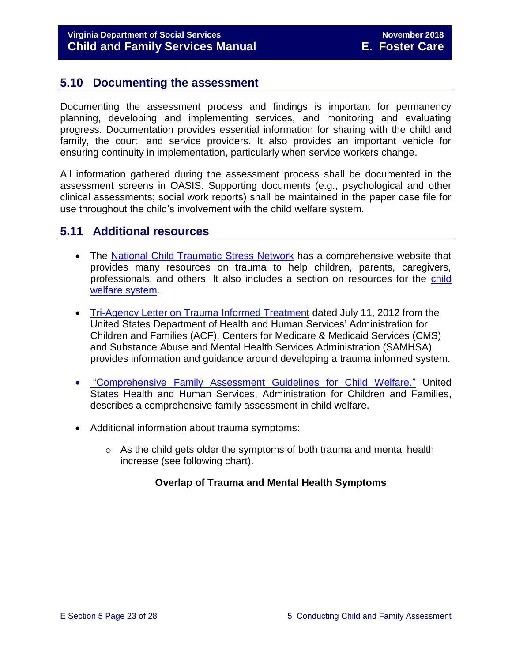# <span id="page-22-0"></span>**5.10 Documenting the assessment**

Documenting the assessment process and findings is important for permanency planning, developing and implementing services, and monitoring and evaluating progress. Documentation provides essential information for sharing with the child and family, the court, and service providers. It also provides an important vehicle for ensuring continuity in implementation, particularly when service workers change.

All information gathered during the assessment process shall be documented in the assessment screens in OASIS. Supporting documents (e.g., psychological and other clinical assessments; social work reports) shall be maintained in the paper case file for use throughout the child's involvement with the child welfare system.

# <span id="page-22-1"></span>**5.11 Additional resources**

- The [National Child Traumatic Stress Network](http://www.nctsn.org/) has a comprehensive website that provides many resources on trauma to help children, parents, caregivers, professionals, and others. It also includes a section on resources for the [child](http://www.nctsn.org/resources/topics/child-welfare-system)  [welfare system.](http://www.nctsn.org/resources/topics/child-welfare-system)
- [Tri-Agency Letter on Trauma Informed Treatment](http://www.medicaid.gov/Federal-Policy-Guidance/Downloads/SMD-13-07-11.pdf) dated July 11, 2012 from the United States Department of Health and Human Services' Administration for Children and Families (ACF), Centers for Medicare & Medicaid Services (CMS) and Substance Abuse and Mental Health Services Administration (SAMHSA) provides information and guidance around developing a trauma informed system.
- "Comprehensive [Family Assessment Guidelines for Child Welfare."](http://www.acf.hhs.gov/sites/default/files/cb/family_assessment.pdf) United States Health and Human Services, Administration for Children and Families, describes a comprehensive family assessment in child welfare.
- Additional information about trauma symptoms:
	- $\circ$  As the child gets older the symptoms of both trauma and mental health increase (see following chart).

#### **Overlap of Trauma and Mental Health Symptoms**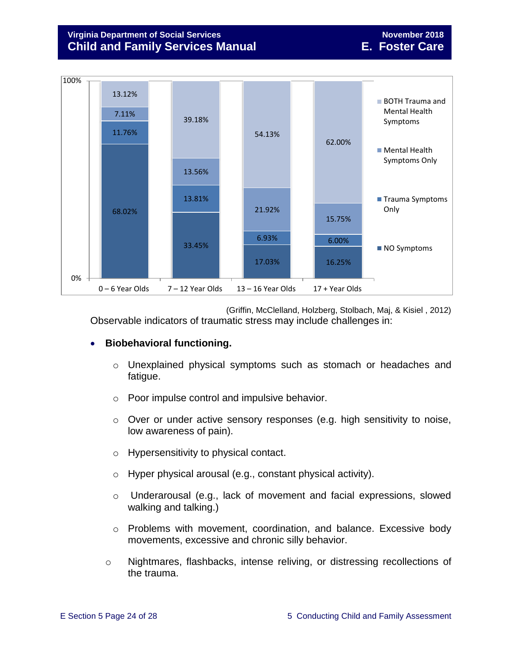### **Virginia Department of Social Services November 2018 Child and Family Services Manual E. Foster Care**



(Griffin, McClelland, Holzberg, Stolbach, Maj, & Kisiel , 2012) Observable indicators of traumatic stress may include challenges in:

#### **Biobehavioral functioning.**

- o Unexplained physical symptoms such as stomach or headaches and fatigue.
- o Poor impulse control and impulsive behavior.
- o Over or under active sensory responses (e.g. high sensitivity to noise, low awareness of pain).
- o Hypersensitivity to physical contact.
- o Hyper physical arousal (e.g., constant physical activity).
- o Underarousal (e.g., lack of movement and facial expressions, slowed walking and talking.)
- o Problems with movement, coordination, and balance. Excessive body movements, excessive and chronic silly behavior.
- o Nightmares, flashbacks, intense reliving, or distressing recollections of the trauma.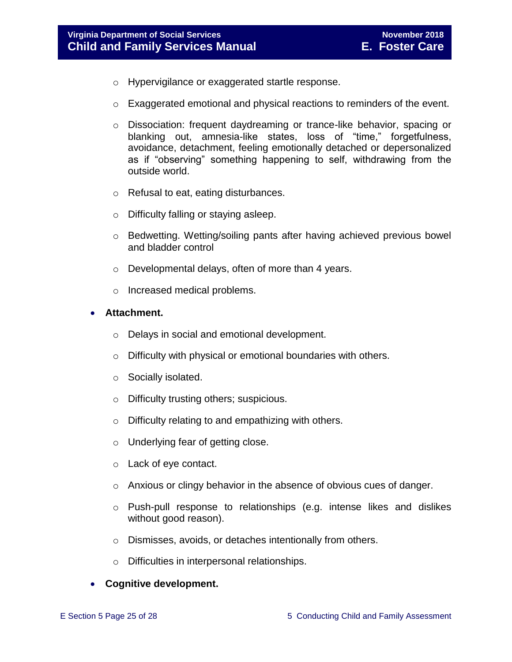- o Hypervigilance or exaggerated startle response.
- $\circ$  Exaggerated emotional and physical reactions to reminders of the event.
- o Dissociation: frequent daydreaming or trance-like behavior, spacing or blanking out, amnesia-like states, loss of "time," forgetfulness, avoidance, detachment, feeling emotionally detached or depersonalized as if "observing" something happening to self, withdrawing from the outside world.
- o Refusal to eat, eating disturbances.
- o Difficulty falling or staying asleep.
- o Bedwetting. Wetting/soiling pants after having achieved previous bowel and bladder control
- o Developmental delays, often of more than 4 years.
- o Increased medical problems.
- **Attachment.**
	- o Delays in social and emotional development.
	- o Difficulty with physical or emotional boundaries with others.
	- o Socially isolated.
	- o Difficulty trusting others; suspicious.
	- o Difficulty relating to and empathizing with others.
	- o Underlying fear of getting close.
	- o Lack of eye contact.
	- $\circ$  Anxious or clingy behavior in the absence of obvious cues of danger.
	- o Push-pull response to relationships (e.g. intense likes and dislikes without good reason).
	- o Dismisses, avoids, or detaches intentionally from others.
	- Difficulties in interpersonal relationships.

#### **Cognitive development.**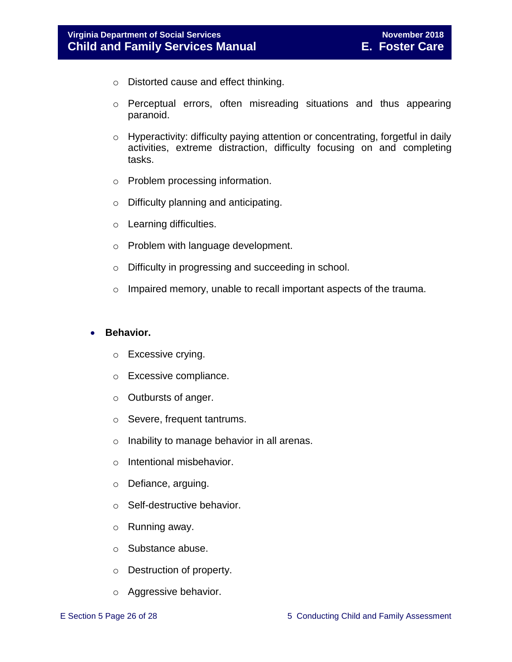- o Distorted cause and effect thinking.
- o Perceptual errors, often misreading situations and thus appearing paranoid.
- o Hyperactivity: difficulty paying attention or concentrating, forgetful in daily activities, extreme distraction, difficulty focusing on and completing tasks.
- o Problem processing information.
- o Difficulty planning and anticipating.
- o Learning difficulties.
- o Problem with language development.
- o Difficulty in progressing and succeeding in school.
- o Impaired memory, unable to recall important aspects of the trauma.

#### **•** Behavior.

- o Excessive crying.
- o Excessive compliance.
- o Outbursts of anger.
- o Severe, frequent tantrums.
- o Inability to manage behavior in all arenas.
- o Intentional misbehavior.
- o Defiance, arguing.
- o Self-destructive behavior.
- o Running away.
- o Substance abuse.
- o Destruction of property.
- o Aggressive behavior.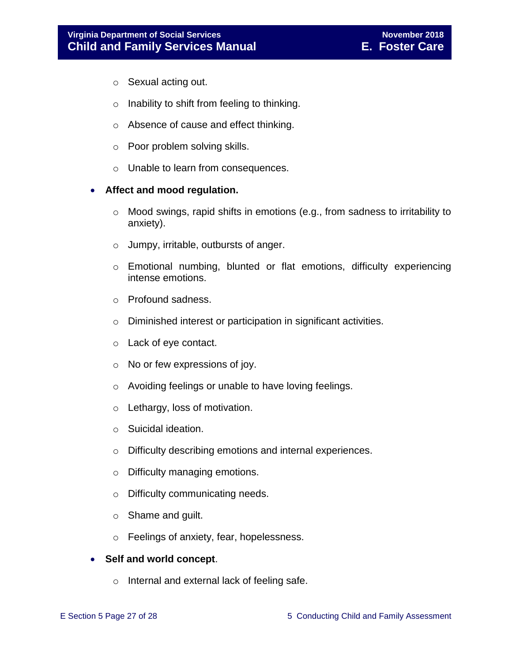- o Sexual acting out.
- $\circ$  Inability to shift from feeling to thinking.
- o Absence of cause and effect thinking.
- o Poor problem solving skills.
- o Unable to learn from consequences.

#### **Affect and mood regulation.**

- o Mood swings, rapid shifts in emotions (e.g., from sadness to irritability to anxiety).
- o Jumpy, irritable, outbursts of anger.
- o Emotional numbing, blunted or flat emotions, difficulty experiencing intense emotions.
- o Profound sadness.
- o Diminished interest or participation in significant activities.
- o Lack of eye contact.
- $\circ$  No or few expressions of joy.
- o Avoiding feelings or unable to have loving feelings.
- o Lethargy, loss of motivation.
- o Suicidal ideation.
- o Difficulty describing emotions and internal experiences.
- o Difficulty managing emotions.
- o Difficulty communicating needs.
- o Shame and guilt.
- o Feelings of anxiety, fear, hopelessness.

#### **Self and world concept**.

o Internal and external lack of feeling safe.